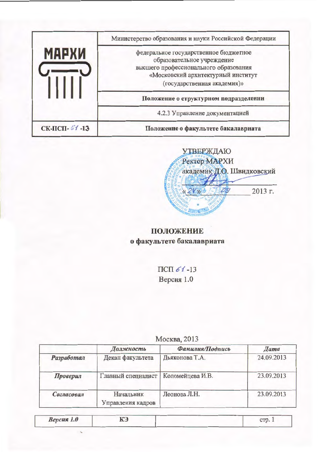|               | Министерство образования и науки Российской Федерации                                                                                                                             |
|---------------|-----------------------------------------------------------------------------------------------------------------------------------------------------------------------------------|
| <b>MAPXW</b>  | федеральное государственное бюджетное<br>образовательное учреждение<br>высшего профессионального образования<br>«Московский архитектуриый институт<br>(государственная академия)» |
|               | Положение о структурном подразделении                                                                                                                                             |
|               | 4.2.3 Управление документацией                                                                                                                                                    |
| СК-ПСП- 51-13 | Положение о факультете бакалавриата                                                                                                                                               |



# положение о факультете бакалавриата

ПСП $61-13$ Версия 1.0

| Москва, 2013 |  |  |
|--------------|--|--|

|            | Должность                             | Фамилия/Подпись | <b>Hama</b> |
|------------|---------------------------------------|-----------------|-------------|
| Разработал | Декан факультета                      | Дьяконова Т.А.  | 24.09.2013  |
| Проверил   | Главный специалист   Коломейцева И.В. |                 | 23.09.2013  |
| Согласовал | Начальник<br>Управления кадров        | Леонова Л.Н.    | 23.09.2013  |

| Версия 1.0 | КЭ | CTP.1 |  |
|------------|----|-------|--|
|            |    |       |  |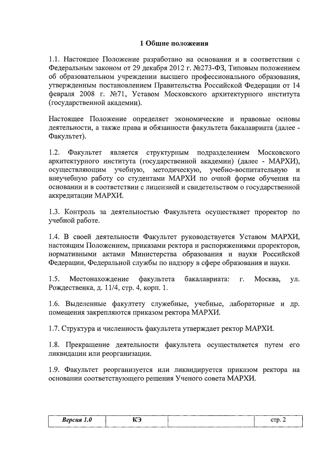### 1 Общие положения

1.1. Настоящее Положение разработано на основании и в соответствии с Федеральным законом от 29 декабря 2012 г. №273-ФЗ, Типовым положением об образовательном учреждении высшего профессионального образования, утвержденным постановлением Правительства Российской Федерации от 14 февраля 2008 г. №71, Уставом Московского архитектурного института (государственной академии).

Настоящее Положение определяет экономические и правовые основы деятельности, а также права и обязанности факультета бакалавриата (далее -Факультет).

 $1.2.$ Факультет является структурным подразделением Московского архитектурного института (государственной академии) (далее - МАРХИ), осуществляющим учебную, методическую, учебно-воспитательную  $\mathbf{M}$ внеучебную работу со студентами МАРХИ по очной форме обучения на основании и в соответствии с лицензией и свидетельством о государственной аккредитации МАРХИ.

1.3. Контроль за деятельностью Факультета осуществляет проректор по учебной работе.

1.4. В своей деятельности Факультет руководствуется Уставом МАРХИ, настоящим Положением, приказами ректора и распоряжениями проректоров, нормативными актами Министерства образования и науки Российской Федерации, Федеральной службы по надзору в сфере образования и науки.

 $1.5.$ Местонахождение факультета бакалавриата:  $\Gamma$ . Москва, ул. Рождественка, д. 11/4, стр. 4, корп. 1.

1.6. Выделенные факултету служебные, учебные, лабораторные и др. помещения закрепляются приказом ректора МАРХИ.

1.7. Структура и численность факультета утверждает ректор МАРХИ.

1.8. Прекращение деятельности факультета осуществляется путем его ликвидации или реорганизации.

1.9. Факультет реорганизуется или ликвидируется приказом ректора на основании соответствующего решения Ученого совета МАРХИ.

| <b>Версия</b> 1.0 | TCT<br>n J | $\alpha$ rrsse<br>$\overline{\phantom{a}}$ |
|-------------------|------------|--------------------------------------------|
|                   |            |                                            |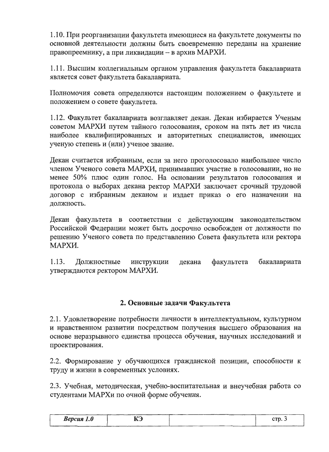1.10. При реорганизации факультета имеющиеся на факультете документы по основной деятельности должны быть своевременно переданы на хранение правопреемнику, а при ликвидации - в архив МАРХИ.

1.11. Высшим коллегиальным органом управления факультета бакалавриата является совет факультета бакалавриата.

Полномочия совета определяются настоящим положением о факультете и положением о совете факультета.

1.12. Факультет бакалавриата возглавляет декан. Декан избирается Ученым советом МАРХИ путем тайного голосования, сроком на пять лет из числа наиболее квалифицированных и авторитетных специалистов, имеющих ученую степень и (или) ученое звание.

Декан считается избранным, если за него проголосовало наибольшее число членом Ученого совета МАРХИ, принимавших участие в голосовании, но не менее 50% плюс один голос. На основании результатов голосования и протокола о выборах декана ректор МАРХИ заключает срочный трудовой договор с избранным деканом и издает приказ о его назначении на должность.

Декан факультета в соответствии с действующим законодательством Российской Федерации может быть досрочно освобожден от должности по решению Ученого совета по представлению Совета факультета или ректора МАРХИ.

1.13. факультета бакалавриата Должностные инструкции декана утверждаются ректором МАРХИ.

# 2. Основные задачи Факультета

2.1. Удовлетворение потребности личности в интеллектуальном, культурном и нравственном развитии посредством получения высшего образования на основе неразрывного единства процесса обучения, научных исследований и проектирования.

2.2. Формирование у обучающихся гражданской позиции, способности к труду и жизни в современных условиях.

2.3. Учебная, методическая, учебно-воспитательная и внеучебная работа со студентами МАРХи по очной форме обучения.

| <b>Версия</b> 1.0 | <b>TAN</b><br>ື |     | $\sim$ THM |
|-------------------|-----------------|-----|------------|
|                   |                 | ___ |            |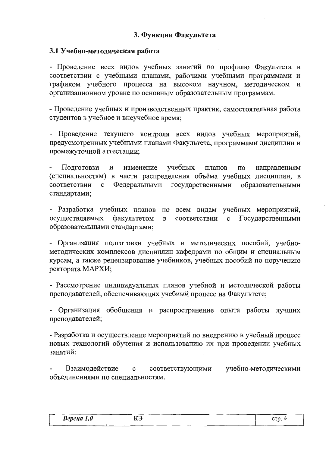# 3. Функции Факультета

### 3.1 Учебно-методическая работа

- Проведение всех видов учебных занятий по профилю Факультета в соответствии с учебными планами, рабочими учебными программами и графиком учебного процесса на высоком научном, методическом и организационном уровне по основным образовательным программам.

- Проведение учебных и производственных практик, самостоятельная работа студентов в учебное и внеучебное время;

- Проведение текущего контроля всех видов учебных мероприятий, предусмотренных учебными планами Факультета, программами дисциплин и промежуточной аттестации;

Подготовка изменение учебных направлениям  $\, {\bf N}$ планов  $\Pi$ <sup>O</sup> (специальностям) в части распределения объёма учебных дисциплин, в соответствии Федеральными государственными  $\mathbf c$ образовательными стандартами;

- Разработка учебных планов по всем видам учебных мероприятий, осуществляемых факультетом  $\mathbf{B}$ Государственными соответствии  $\mathbf{c}$ образовательными стандартами;

- Организация подготовки учебных и методических пособий, учебнометодических комплексов дисциплин кафедрами по общим и специальным курсам, а также рецензирование учебников, учебных пособий по поручению ректората МАРХИ;

- Рассмотрение индивидуальных планов учебной и методической работы преподавателей, обеспечивающих учебный процесс на Факультете;

- Организация обобщения и распространение опыта работы лучших преподавателей;

- Разработка и осуществление мероприятий по внедрению в учебный процесс новых технологий обучения и использованию их при проведении учебных занятий:

Взаимодействие учебно-методическими  $\mathbf{C}$ соответствующими объединениями по специальностям.

| <b>Версия</b> 1.0 | <b>TAC</b><br>. . | crp. |
|-------------------|-------------------|------|
|                   | NJ                |      |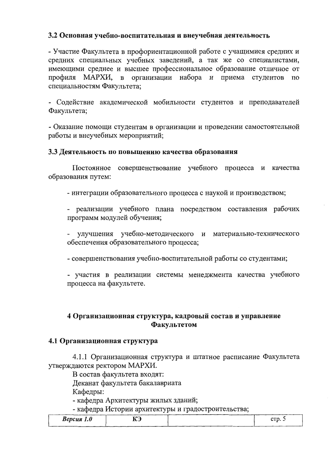# 3.2 Основная учебно-воспитательная и внеучебная деятельность

- Участие Факультета в профориентационной работе с учащимися средних и средних специальных учебных заведений, а так же со специалистами, имеющими среднее и высшее профессиональное образование отличное от профиля МАРХИ, в организации набора и приема студентов по специальностям Факультета;

- Содействие академической мобильности студентов и преподавателей Факультета;

- Оказание помощи студентам в организации и проведении самостоятельной работы и внеучебных мероприятий;

### 3.3 Деятельность по повышению качества образования

Постоянное совершенствование учебного процесса и качества образования путем:

- интеграции образовательного процесса с наукой и производством;

- реализации учебного плана посредством составления рабочих программ модулей обучения;

- улучшения учебно-методического и материально-технического обеспечения образовательного процесса;

- совершенствования учебно-воспитательной работы со студентами;

- участия в реализации системы менеджмента качества учебного процесса на факультете.

# 4 Организационная структура, кадровый состав и управление Факультетом

### 4.1 Организационная структура

4.1.1 Организационная структура и штатное расписание Факультета утверждаются ректором МАРХИ.

В состав факультета входят:

Деканат факультета бакалавриата

Кафедры:

- кафедра Архитектуры жилых зданий;

- кафедра Истории архитектуры и градостроительства;

| __<br>Версия<br>$\sqrt{ }$ | ぜんへ<br>-- | etp. 5 |
|----------------------------|-----------|--------|
| 1.0 <sub>1</sub>           | nj        |        |
|                            |           |        |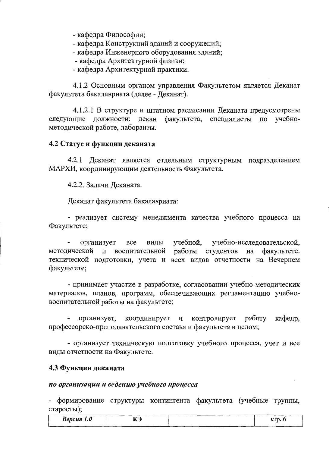- кафедра Философии;

- кафедра Конструкций зданий и сооружений;

- кафедра Инженерного оборудования зданий;

- кафедра Архитектурной физики;

- кафедра Архитектурной практики.

4.1.2 Основным органом управления Факультетом является Деканат факультета бакалавриата (далее - Деканат).

4.1.2.1 В структуре и штатном расписании Деканата предусмотрены следующие должности: декан факультета, специалисты по учебнометодической работе, лаборанты.

### 4.2 Статус и функции деканата

4.2.1 Деканат является отдельным структурным подразделением МАРХИ, координирующим деятельность Факультета.

4.2.2. Задачи Деканата.

Деканат факультета бакалавриата:

- реализует систему менеджмента качества учебного процесса на Факультете;

**BCe** учебной, учебно-исследовательской, организует виды воспитательной работы студентов на методической и факультете. технической подготовки, учета и всех видов отчетности на Вечернем факультете;

- принимает участие в разработке, согласовании учебно-методических материалов, планов, программ, обеспечивающих регламентацию учебновоспитательной работы на факультете;

работу кафедр, организует, координирует  $\mathbf{M}$ контролирует профессорско-преподавательского состава и факультета в целом;

- организует техническую подготовку учебного процесса, учет и все виды отчетности на Факультете.

### 4.3 Функции деканата

### по организации и ведению учебного процесса

- формирование структуры контингента факультета (учебные группы, старосты);

| <b>Версия</b> 1.0 | TM<br>-<br>≛ | стр. 6 |
|-------------------|--------------|--------|
| ____              |              |        |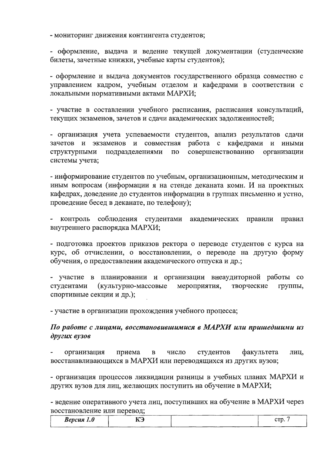- мониторинг движения контингента студентов;

- оформление, выдача и ведение текущей документации (студенческие билеты, зачетные книжки, учебные карты студентов);

- оформление и выдача документов государственного образца совместно с управлением кадром, учебным отделом и кафедрами в соответствии с локальными нормативными актами МАРХИ;

- участие в составлении учебного расписания, расписания консультаций, текущих экзаменов, зачетов и сдачи академических задолженностей;

- организация учета успеваемости студентов, анализ результатов сдачи зачетов и экзаменов и совместная работа с кафедрами и иными совершенствованию структурными подразделениями  $\Pi$ <sup>O</sup> организации системы учета;

- информирование студентов по учебным, организационным, методическим и иным вопросам (информации я на стенде деканата комн. И на проектных кафедрах, доведение до студентов информации в группах письменно и устно, проведение бесед в деканате, по телефону);

- контроль соблюдения студентами академических правили правил внутреннего распорядка МАРХИ;

- подготовка проектов приказов ректора о переводе студентов с курса на курс, об отчислении, о восстановлении, о переводе на другую форму обучения, о предоставлении академического отпуска и др.;

- участие в планировании и организации внеаудиторной работы со студентами (культурно-массовые мероприятия, творческие группы, спортивные секции и др.);

- участие в организации прохождения учебного процесса;

# По работе с лицами, восстановившимися в МАРХИ или пришедшими из других вузов

организация студентов факультета приема  $\bf{B}$ число лиц, восстанавливающихся в МАРХИ или переводящихся из других вузов;

- организация процессов ликвидации разницы в учебных планах МАРХИ и других вузов для лиц, желающих поступить на обучение в МАРХИ;

- ведение оперативного учета лиц, поступивших на обучение в МАРХИ через восстановление или перевод;

| <b>Версия</b> 1.0 | TAM<br>--<br>-- | ----------<br>---- | $\alpha$<br>ーー・トレ・ |
|-------------------|-----------------|--------------------|--------------------|
|                   |                 |                    |                    |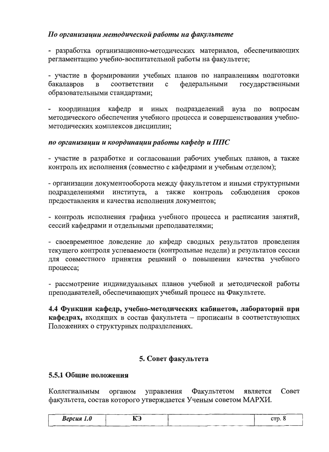# По организации методической работы на факультете

- разработка организационно-методических материалов, обеспечивающих регламентацию учебно-воспитательной работы на факультете;

- участие в формировании учебных планов по направлениям подготовки бакалавров  $\, {\bf B}$  $\mathbf c$ федеральными государственными соответствии образовательными стандартами;

координация кафедр и иных подразделений вуза  $\Pi$ O вопросам методического обеспечения учебного процесса и совершенствования учебнометодических комплексов дисциплин;

# по организации и координации работы кафедр и ППС

- участие в разработке и согласовании рабочих учебных планов, а также контроль их исполнения (совместно с кафедрами и учебным отделом);

- организации документооборота между факультетом и иными структурными соблюдения сроков подразделениями института, а также контроль предоставления и качества исполнения документов;

- контроль исполнения графика учебного процесса и расписания занятий, сессий кафедрами и отдельными преподавателями;

- своевременное доведение до кафедр сводных результатов проведения текущего контроля успеваемости (контрольные недели) и результатов сессии для совместного принятия решений о повышении качества учебного процесса;

- рассмотрение индивидуальных планов учебной и методической работы преподавателей, обеспечивающих учебный процесс на Факультете.

4.4 Функции кафедр, учебно-методических кабинетов, лабораторий при кафедрах, входящих в состав факультета - прописаны в соответствующих Положениях о структурных подразделениях.

# 5. Совет факультета

### 5.5.1 Обшие положения

Коллегиальным органом управления Факультетом Совет является факультета, состав которого утверждается Ученым советом МАРХИ.

| <b>Версия</b> 1.0 | КЭ<br>--- | ctp. 8 |
|-------------------|-----------|--------|
|                   |           |        |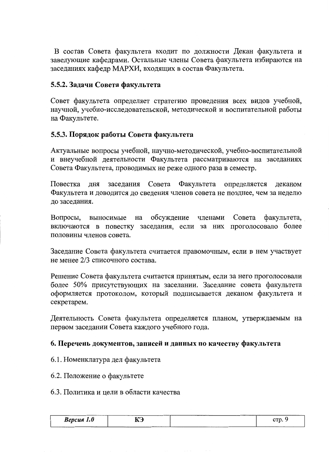В состав Совета факультета входит по должности Декан факультета и заведующие кафедрами. Остальные члены Совета факультета избираются на заседаниях кафедр МАРХИ, входящих в состав Факультета.

# 5.5.2. Задачи Совета факультета

Совет факультета определяет стратегию проведения всех видов учебной, научной, учебно-исследовательской, методической и воспитательной работы на Факультете.

# 5.5.3. Порядок работы Совета факультета

Актуальные вопросы учебной, научно-методической, учебно-воспитательной и внеучебной деятельности Факультета рассматриваются на заседаниях Совета Факультета, проводимых не реже одного раза в семестр.

Повестка Совета ЛНЯ заселания Факультета определяется леканом Факультета и доводится до сведения членов совета не позднее, чем за неделю до заседания.

обсуждение Совета Вопросы, выносимые на членами факультета, включаются в повестку заседания, если за них проголосовало более половины членов совета.

Заседание Совета факультета считается правомочным, если в нем участвует не менее 2/3 списочного состава.

Решение Совета факультета считается принятым, если за него проголосовали более 50% присутствующих на заселании. Заседание совета факультета оформляется протоколом, который подписывается деканом факультета и секретарем.

Деятельность Совета факультета определяется планом, утверждаемым на первом заседании Совета каждого учебного года.

### 6. Перечень документов, записей и данных по качеству факультета

- 6.1. Номенклатура дел факультета
- 6.2. Положение о факультете

#### 6.3. Политика и цели в области качества

| --------<br><b>Версия</b><br>UA 1.0<br>-- - 1<br>$\overline{\phantom{a}}$ | ----------<br>TAM<br>11 J | $\sim$ mes<br>- |
|---------------------------------------------------------------------------|---------------------------|-----------------|
|                                                                           |                           |                 |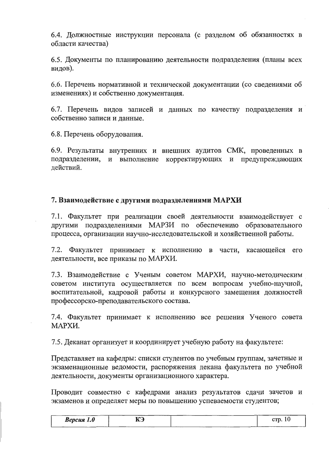6.4. Должностные инструкции персонала (с разделом об обязанностях в области качества)

6.5. Документы по планированию деятельности подразделения (планы всех видов).

6.6. Перечень нормативной и технической документации (со сведениями об изменениях) и собственно документация.

6.7. Перечень видов записей и данных по качеству подразделения и собственно записи и данные.

6.8. Перечень оборудования.

6.9. Результаты внутренних и внешних аудитов СМК, проведенных в подразделении, и выполнение корректирующих и предупреждающих действий.

### 7. Взаимодействие с другими подразделениями МАРХИ

7.1. Факультет при реализации своей деятельности взаимодействует с другими подразделениями МАРЗИ по обеспечению образовательного процесса, организации научно-исследовательской и хозяйственной работы.

7.2. Факультет принимает к исполнению в части, касающейся его деятельности, все приказы по МАРХИ.

7.3. Взаимодействие с Ученым советом МАРХИ, научно-методическим советом института осуществляется по всем вопросам учебно-научной, воспитательной, кадровой работы и конкурсного замещения должностей профессорско-преподавательского состава.

7.4. Факультет принимает к исполнению все решения Ученого совета МАРХИ.

7.5. Деканат организует и координирует учебную работу на факультете:

Представляет на кафедры: списки студентов по учебным группам, зачетные и экзаменационные ведомости, распоряжения декана факультета по учебной деятельности, документы организационного характера.

Проводит совместно с кафедрами анализ результатов сдачи зачетов и экзаменов и определяет меры по повышению успеваемости студентов;

| Версия 1.0 | $\mathbf{r}$<br><b>KJ</b> | crp. |
|------------|---------------------------|------|
|            |                           |      |